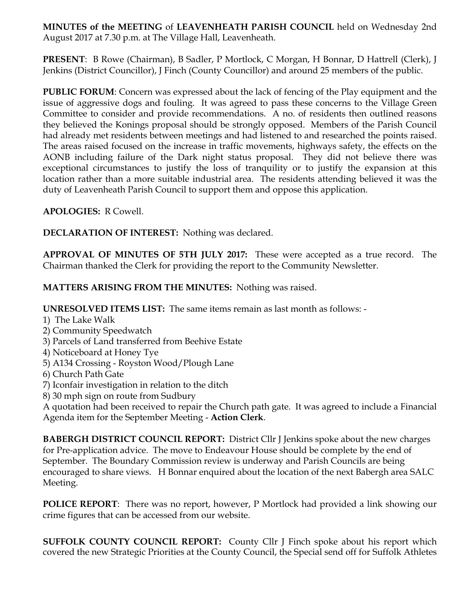**MINUTES of the MEETING** of **LEAVENHEATH PARISH COUNCIL** held on Wednesday 2nd August 2017 at 7.30 p.m. at The Village Hall, Leavenheath.

**PRESENT**: B Rowe (Chairman), B Sadler, P Mortlock, C Morgan, H Bonnar, D Hattrell (Clerk), J Jenkins (District Councillor), J Finch (County Councillor) and around 25 members of the public.

**PUBLIC FORUM**: Concern was expressed about the lack of fencing of the Play equipment and the issue of aggressive dogs and fouling. It was agreed to pass these concerns to the Village Green Committee to consider and provide recommendations. A no. of residents then outlined reasons they believed the Konings proposal should be strongly opposed. Members of the Parish Council had already met residents between meetings and had listened to and researched the points raised. The areas raised focused on the increase in traffic movements, highways safety, the effects on the AONB including failure of the Dark night status proposal. They did not believe there was exceptional circumstances to justify the loss of tranquility or to justify the expansion at this location rather than a more suitable industrial area. The residents attending believed it was the duty of Leavenheath Parish Council to support them and oppose this application.

**APOLOGIES:** R Cowell.

**DECLARATION OF INTEREST:** Nothing was declared.

**APPROVAL OF MINUTES OF 5TH JULY 2017:** These were accepted as a true record. The Chairman thanked the Clerk for providing the report to the Community Newsletter.

**MATTERS ARISING FROM THE MINUTES:** Nothing was raised.

**UNRESOLVED ITEMS LIST:** The same items remain as last month as follows: -

- 1) The Lake Walk
- 2) Community Speedwatch
- 3) Parcels of Land transferred from Beehive Estate
- 4) Noticeboard at Honey Tye
- 5) A134 Crossing Royston Wood/Plough Lane
- 6) Church Path Gate
- 7) Iconfair investigation in relation to the ditch
- 8) 30 mph sign on route from Sudbury

A quotation had been received to repair the Church path gate. It was agreed to include a Financial Agenda item for the September Meeting - **Action Clerk**.

**BABERGH DISTRICT COUNCIL REPORT:** District Cllr J Jenkins spoke about the new charges for Pre-application advice. The move to Endeavour House should be complete by the end of September. The Boundary Commission review is underway and Parish Councils are being encouraged to share views. H Bonnar enquired about the location of the next Babergh area SALC Meeting.

**POLICE REPORT**: There was no report, however, P Mortlock had provided a link showing our crime figures that can be accessed from our website.

**SUFFOLK COUNTY COUNCIL REPORT:** County Cllr J Finch spoke about his report which covered the new Strategic Priorities at the County Council, the Special send off for Suffolk Athletes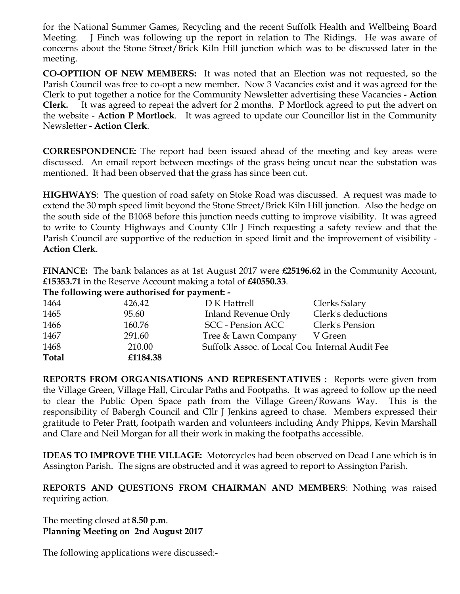for the National Summer Games, Recycling and the recent Suffolk Health and Wellbeing Board Meeting. J Finch was following up the report in relation to The Ridings. He was aware of concerns about the Stone Street/Brick Kiln Hill junction which was to be discussed later in the meeting.

**CO-OPTIION OF NEW MEMBERS:** It was noted that an Election was not requested, so the Parish Council was free to co-opt a new member. Now 3 Vacancies exist and it was agreed for the Clerk to put together a notice for the Community Newsletter advertising these Vacancies **- Action Clerk.** It was agreed to repeat the advert for 2 months. P Mortlock agreed to put the advert on the website - **Action P Mortlock**. It was agreed to update our Councillor list in the Community Newsletter - **Action Clerk**.

**CORRESPONDENCE:** The report had been issued ahead of the meeting and key areas were discussed. An email report between meetings of the grass being uncut near the substation was mentioned. It had been observed that the grass has since been cut.

**HIGHWAYS**: The question of road safety on Stoke Road was discussed. A request was made to extend the 30 mph speed limit beyond the Stone Street/Brick Kiln Hill junction. Also the hedge on the south side of the B1068 before this junction needs cutting to improve visibility. It was agreed to write to County Highways and County Cllr J Finch requesting a safety review and that the Parish Council are supportive of the reduction in speed limit and the improvement of visibility - **Action Clerk**.

**FINANCE:** The bank balances as at 1st August 2017 were **£25196.62** in the Community Account, **£15353.71** in the Reserve Account making a total of **£40550.33**.

**The following were authorised for payment: -**

| 1464         | 426.42   | D K Hattrell                                   | Clerks Salary      |
|--------------|----------|------------------------------------------------|--------------------|
| 1465         | 95.60    | Inland Revenue Only                            | Clerk's deductions |
| 1466         | 160.76   | SCC - Pension ACC                              | Clerk's Pension    |
| 1467         | 291.60   | Tree & Lawn Company                            | V Green            |
| 1468         | 210.00   | Suffolk Assoc. of Local Cou Internal Audit Fee |                    |
| <b>Total</b> | £1184.38 |                                                |                    |

**REPORTS FROM ORGANISATIONS AND REPRESENTATIVES :** Reports were given from the Village Green, Village Hall, Circular Paths and Footpaths. It was agreed to follow up the need to clear the Public Open Space path from the Village Green/Rowans Way. This is the responsibility of Babergh Council and Cllr J Jenkins agreed to chase. Members expressed their gratitude to Peter Pratt, footpath warden and volunteers including Andy Phipps, Kevin Marshall and Clare and Neil Morgan for all their work in making the footpaths accessible.

**IDEAS TO IMPROVE THE VILLAGE:** Motorcycles had been observed on Dead Lane which is in Assington Parish. The signs are obstructed and it was agreed to report to Assington Parish.

**REPORTS AND QUESTIONS FROM CHAIRMAN AND MEMBERS**: Nothing was raised requiring action.

The meeting closed at **8.50 p.m**. **Planning Meeting on 2nd August 2017**

The following applications were discussed:-